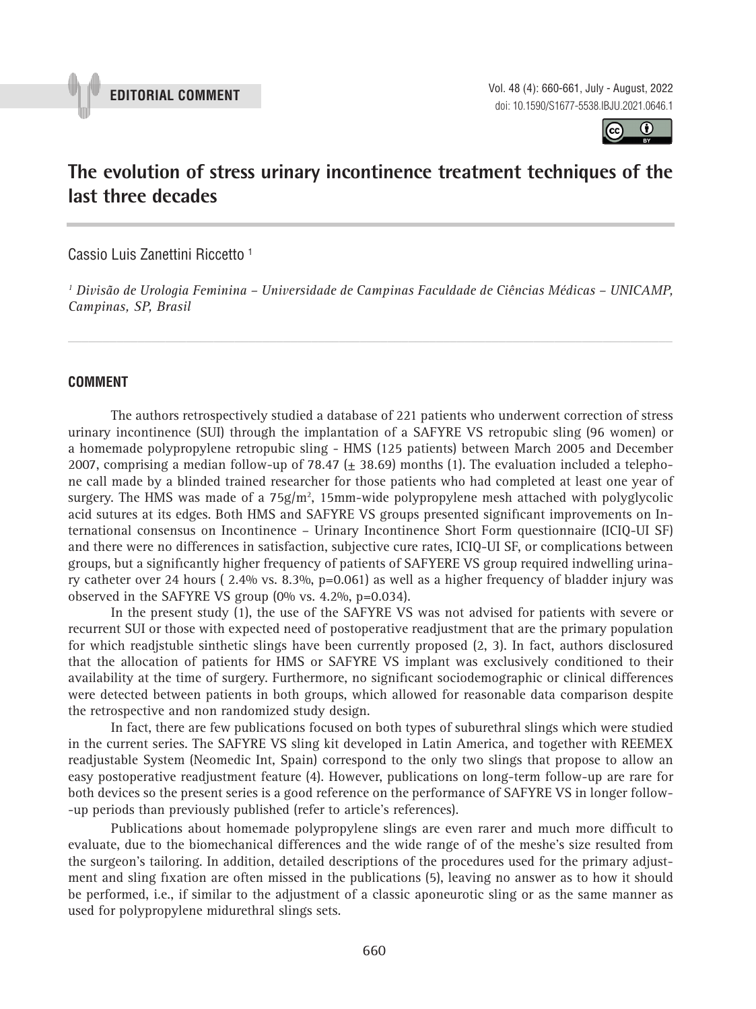

**EDITORIAL COMMENT** Vol. 48 (4): 660-661, July - August, 2022 doi: 10.1590/S1677-5538.IBJU.2021.0646.1



# **The evolution of stress urinary incontinence treatment techniques of the last three decades \_\_\_\_\_\_\_\_\_\_\_\_\_\_\_\_\_\_\_\_\_\_\_\_\_\_\_\_\_\_\_\_\_\_\_\_\_\_\_\_\_\_\_\_\_\_\_**

Cassio Luis Zanettini Riccetto 1

*1 Divisão de Urologia Feminina – Universidade de Campinas Faculdade de Ciências Médicas – UNICAMP, Campinas, SP, Brasil*

*\_\_\_\_\_\_\_\_\_\_\_\_\_\_\_\_\_\_\_\_\_\_\_\_\_\_\_\_\_\_\_\_\_\_\_\_\_\_\_\_\_\_\_\_\_\_\_\_\_\_\_\_\_\_\_\_\_\_\_\_\_\_\_\_\_\_\_\_\_\_\_\_\_\_\_\_\_\_\_\_\_\_\_\_\_\_\_*

### **COMMENT**

The authors retrospectively studied a database of 221 patients who underwent correction of stress urinary incontinence (SUI) through the implantation of a SAFYRE VS retropubic sling (96 women) or a homemade polypropylene retropubic sling - HMS (125 patients) between March 2005 and December 2007, comprising a median follow-up of 78.47 ( $\pm$  38.69) months (1). The evaluation included a telephone call made by a blinded trained researcher for those patients who had completed at least one year of surgery. The HMS was made of a 75g/m<sup>2</sup>, 15mm-wide polypropylene mesh attached with polyglycolic acid sutures at its edges. Both HMS and SAFYRE VS groups presented significant improvements on International consensus on Incontinence – Urinary Incontinence Short Form questionnaire (ICIQ-UI SF) and there were no differences in satisfaction, subjective cure rates, ICIQ-UI SF, or complications between groups, but a significantly higher frequency of patients of SAFYERE VS group required indwelling urinary catheter over 24 hours ( 2.4% vs. 8.3%, p=0.061) as well as a higher frequency of bladder injury was observed in the SAFYRE VS group (0% vs. 4.2%, p=0.034).

In the present study (1), the use of the SAFYRE VS was not advised for patients with severe or recurrent SUI or those with expected need of postoperative readjustment that are the primary population for which readjstuble sinthetic slings have been currently proposed (2, 3). In fact, authors disclosured that the allocation of patients for HMS or SAFYRE VS implant was exclusively conditioned to their availability at the time of surgery. Furthermore, no significant sociodemographic or clinical differences were detected between patients in both groups, which allowed for reasonable data comparison despite the retrospective and non randomized study design.

In fact, there are few publications focused on both types of suburethral slings which were studied in the current series. The SAFYRE VS sling kit developed in Latin America, and together with REEMEX readjustable System (Neomedic Int, Spain) correspond to the only two slings that propose to allow an easy postoperative readjustment feature (4). However, publications on long-term follow-up are rare for both devices so the present series is a good reference on the performance of SAFYRE VS in longer follow- -up periods than previously published (refer to article's references).

Publications about homemade polypropylene slings are even rarer and much more difficult to evaluate, due to the biomechanical differences and the wide range of of the meshe's size resulted from the surgeon's tailoring. In addition, detailed descriptions of the procedures used for the primary adjustment and sling fixation are often missed in the publications (5), leaving no answer as to how it should be performed, i.e., if similar to the adjustment of a classic aponeurotic sling or as the same manner as used for polypropylene midurethral slings sets.